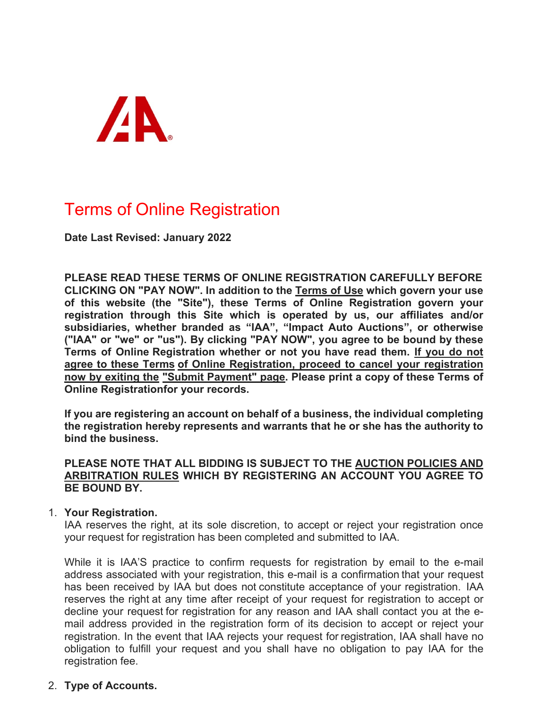

# Terms of Online Registration

**Date Last Revised: January 2022**

**PLEASE READ THESE TERMS OF ONLINE REGISTRATION CAREFULLY BEFORE CLICKING ON "PAY NOW". In addition to the Terms of Use which govern your use of this website (the "Site"), these Terms of Online Registration govern your registration through this Site which is operated by us, our affiliates and/or subsidiaries, whether branded as "IAA", "Impact Auto Auctions", or otherwise ("IAA" or "we" or "us"). By clicking "PAY NOW", you agree to be bound by these Terms of Online Registration whether or not you have read them. If you do not agree to these Terms of Online Registration, proceed to cancel your registration now by exiting the "Submit Payment" page. Please print a copy of these Terms of Online Registrationfor your records.**

**If you are registering an account on behalf of a business, the individual completing the registration hereby represents and warrants that he or she has the authority to bind the business.**

## **PLEASE NOTE THAT ALL BIDDING IS SUBJECT TO THE AUCTION POLICIES AND ARBITRATION RULES WHICH BY REGISTERING AN ACCOUNT YOU AGREE TO BE BOUND BY.**

## 1. **Your Registration.**

IAA reserves the right, at its sole discretion, to accept or reject your registration once your request for registration has been completed and submitted to IAA.

While it is IAA'S practice to confirm requests for registration by email to the e-mail address associated with your registration, this e-mail is a confirmation that your request has been received by IAA but does not constitute acceptance of your registration. IAA reserves the right at any time after receipt of your request for registration to accept or decline your request for registration for any reason and IAA shall contact you at the email address provided in the registration form of its decision to accept or reject your registration. In the event that IAA rejects your request for registration, IAA shall have no obligation to fulfill your request and you shall have no obligation to pay IAA for the registration fee.

# 2. **Type of Accounts.**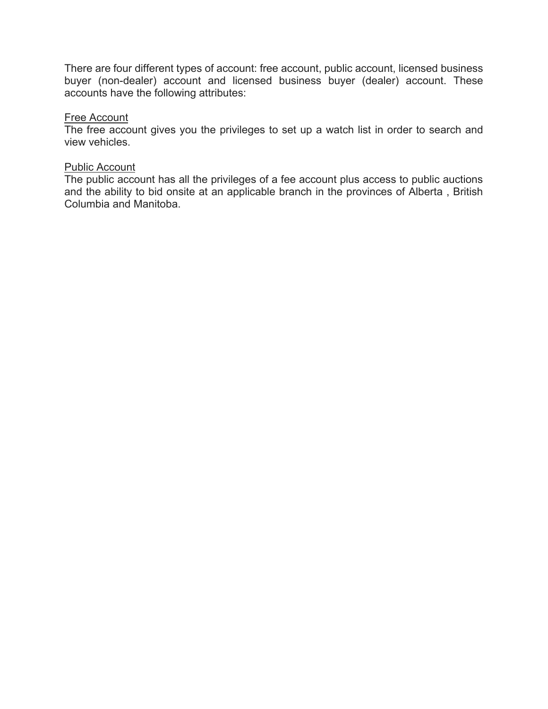There are four different types of account: free account, public account, licensed business buyer (non-dealer) account and licensed business buyer (dealer) account. These accounts have the following attributes:

#### Free Account

The free account gives you the privileges to set up a watch list in order to search and view vehicles.

#### Public Account

The public account has all the privileges of a fee account plus access to public auctions and the ability to bid onsite at an applicable branch in the provinces of Alberta , British Columbia and Manitoba.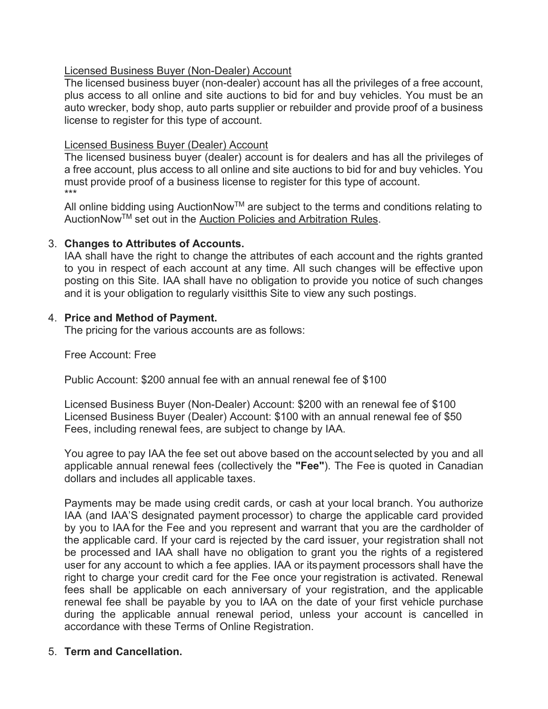# Licensed Business Buyer (Non-Dealer) Account

The licensed business buyer (non-dealer) account has all the privileges of a free account, plus access to all online and site auctions to bid for and buy vehicles. You must be an auto wrecker, body shop, auto parts supplier or rebuilder and provide proof of a business license to register for this type of account.

# Licensed Business Buyer (Dealer) Account

The licensed business buyer (dealer) account is for dealers and has all the privileges of a free account, plus access to all online and site auctions to bid for and buy vehicles. You must provide proof of a business license to register for this type of account. \*\*\*

All online bidding using AuctionNow<sup>TM</sup> are subject to the terms and conditions relating to AuctionNow™ set out in the Auction Policies and Arbitration Rules.

# 3. **Changes to Attributes of Accounts.**

IAA shall have the right to change the attributes of each account and the rights granted to you in respect of each account at any time. All such changes will be effective upon posting on this Site. IAA shall have no obligation to provide you notice of such changes and it is your obligation to regularly visitthis Site to view any such postings.

# 4. **Price and Method of Payment.**

The pricing for the various accounts are as follows:

Free Account: Free

Public Account: \$200 annual fee with an annual renewal fee of \$100

Licensed Business Buyer (Non-Dealer) Account: \$200 with an renewal fee of \$100 Licensed Business Buyer (Dealer) Account: \$100 with an annual renewal fee of \$50 Fees, including renewal fees, are subject to change by IAA.

You agree to pay IAA the fee set out above based on the account selected by you and all applicable annual renewal fees (collectively the **"Fee"**). The Fee is quoted in Canadian dollars and includes all applicable taxes.

Payments may be made using credit cards, or cash at your local branch. You authorize IAA (and IAA'S designated payment processor) to charge the applicable card provided by you to IAA for the Fee and you represent and warrant that you are the cardholder of the applicable card. If your card is rejected by the card issuer, your registration shall not be processed and IAA shall have no obligation to grant you the rights of a registered user for any account to which a fee applies. IAA or its payment processors shall have the right to charge your credit card for the Fee once your registration is activated. Renewal fees shall be applicable on each anniversary of your registration, and the applicable renewal fee shall be payable by you to IAA on the date of your first vehicle purchase during the applicable annual renewal period, unless your account is cancelled in accordance with these Terms of Online Registration.

# 5. **Term and Cancellation.**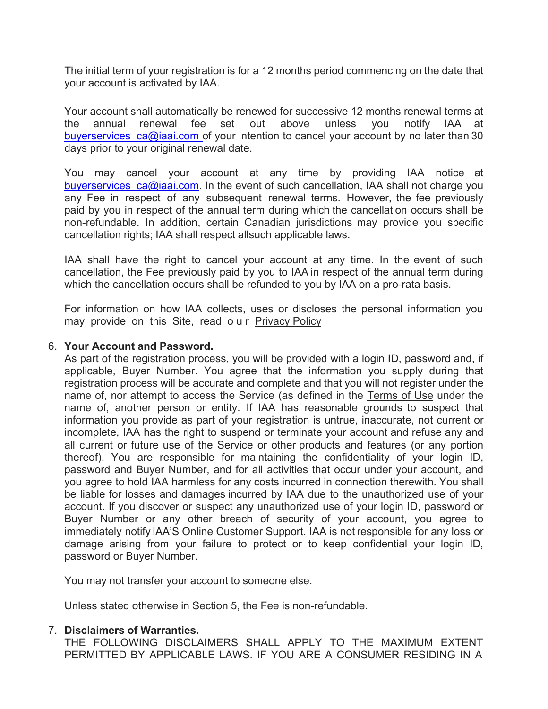The initial term of your registration is for a 12 months period commencing on the date that your account is activated by IAA.

Your account shall automatically be renewed for successive 12 months renewal terms at the annual renewal fee set out above unless you notify IAA at buyerservices  $ca@iaai.com$  of your intention to cancel your account by no later than 30 days prior to your original renewal date.

You may cancel your account at any time by providing IAA notice at buyerservices  $ca@iaai.com$ . In the event of such cancellation, IAA shall not charge you any Fee in respect of any subsequent renewal terms. However, the fee previously paid by you in respect of the annual term during which the cancellation occurs shall be non-refundable. In addition, certain Canadian jurisdictions may provide you specific cancellation rights; IAA shall respect allsuch applicable laws.

IAA shall have the right to cancel your account at any time. In the event of such cancellation, the Fee previously paid by you to IAA in respect of the annual term during which the cancellation occurs shall be refunded to you by IAA on a pro-rata basis.

For information on how IAA collects, uses or discloses the personal information you may provide on this Site, read our Privacy Policy

#### 6. **Your Account and Password.**

As part of the registration process, you will be provided with a login ID, password and, if applicable, Buyer Number. You agree that the information you supply during that registration process will be accurate and complete and that you will not register under the name of, nor attempt to access the Service (as defined in the Terms of Use under the name of, another person or entity. If IAA has reasonable grounds to suspect that information you provide as part of your registration is untrue, inaccurate, not current or incomplete, IAA has the right to suspend or terminate your account and refuse any and all current or future use of the Service or other products and features (or any portion thereof). You are responsible for maintaining the confidentiality of your login ID, password and Buyer Number, and for all activities that occur under your account, and you agree to hold IAA harmless for any costs incurred in connection therewith. You shall be liable for losses and damages incurred by IAA due to the unauthorized use of your account. If you discover or suspect any unauthorized use of your login ID, password or Buyer Number or any other breach of security of your account, you agree to immediately notify IAA'S Online Customer Support. IAA is not responsible for any loss or damage arising from your failure to protect or to keep confidential your login ID, password or Buyer Number.

You may not transfer your account to someone else.

Unless stated otherwise in Section 5, the Fee is non-refundable.

#### 7. **Disclaimers of Warranties.**

THE FOLLOWING DISCLAIMERS SHALL APPLY TO THE MAXIMUM EXTENT PERMITTED BY APPLICABLE LAWS. IF YOU ARE A CONSUMER RESIDING IN A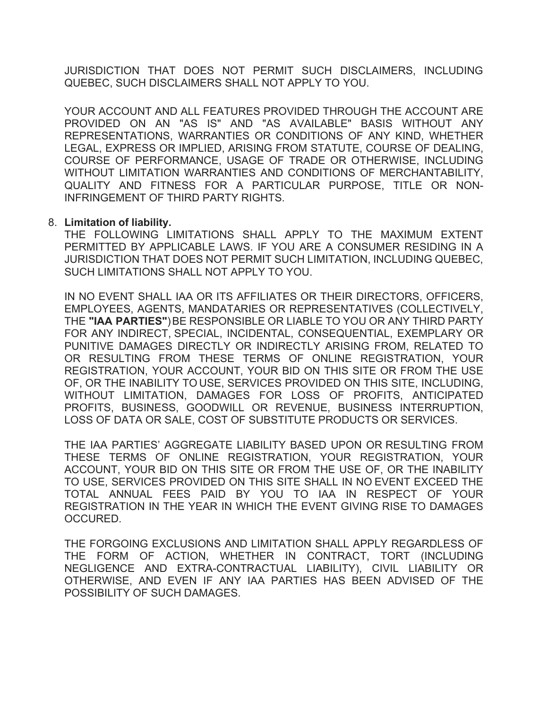JURISDICTION THAT DOES NOT PERMIT SUCH DISCLAIMERS, INCLUDING QUEBEC, SUCH DISCLAIMERS SHALL NOT APPLY TO YOU.

YOUR ACCOUNT AND ALL FEATURES PROVIDED THROUGH THE ACCOUNT ARE PROVIDED ON AN "AS IS" AND "AS AVAILABLE" BASIS WITHOUT ANY REPRESENTATIONS, WARRANTIES OR CONDITIONS OF ANY KIND, WHETHER LEGAL, EXPRESS OR IMPLIED, ARISING FROM STATUTE, COURSE OF DEALING, COURSE OF PERFORMANCE, USAGE OF TRADE OR OTHERWISE, INCLUDING WITHOUT LIMITATION WARRANTIES AND CONDITIONS OF MERCHANTABILITY, QUALITY AND FITNESS FOR A PARTICULAR PURPOSE, TITLE OR NON-INFRINGEMENT OF THIRD PARTY RIGHTS.

## 8. **Limitation of liability.**

THE FOLLOWING LIMITATIONS SHALL APPLY TO THE MAXIMUM EXTENT PERMITTED BY APPLICABLE LAWS. IF YOU ARE A CONSUMER RESIDING IN A JURISDICTION THAT DOES NOT PERMIT SUCH LIMITATION, INCLUDING QUEBEC, SUCH LIMITATIONS SHALL NOT APPLY TO YOU.

IN NO EVENT SHALL IAA OR ITS AFFILIATES OR THEIR DIRECTORS, OFFICERS, EMPLOYEES, AGENTS, MANDATARIES OR REPRESENTATIVES (COLLECTIVELY, THE **"IAA PARTIES"**) BE RESPONSIBLE OR LIABLE TO YOU OR ANY THIRD PARTY FOR ANY INDIRECT, SPECIAL, INCIDENTAL, CONSEQUENTIAL, EXEMPLARY OR PUNITIVE DAMAGES DIRECTLY OR INDIRECTLY ARISING FROM, RELATED TO OR RESULTING FROM THESE TERMS OF ONLINE REGISTRATION, YOUR REGISTRATION, YOUR ACCOUNT, YOUR BID ON THIS SITE OR FROM THE USE OF, OR THE INABILITY TO USE, SERVICES PROVIDED ON THIS SITE, INCLUDING, WITHOUT LIMITATION, DAMAGES FOR LOSS OF PROFITS, ANTICIPATED PROFITS, BUSINESS, GOODWILL OR REVENUE, BUSINESS INTERRUPTION, LOSS OF DATA OR SALE, COST OF SUBSTITUTE PRODUCTS OR SERVICES.

THE IAA PARTIES' AGGREGATE LIABILITY BASED UPON OR RESULTING FROM THESE TERMS OF ONLINE REGISTRATION, YOUR REGISTRATION, YOUR ACCOUNT, YOUR BID ON THIS SITE OR FROM THE USE OF, OR THE INABILITY TO USE, SERVICES PROVIDED ON THIS SITE SHALL IN NO EVENT EXCEED THE TOTAL ANNUAL FEES PAID BY YOU TO IAA IN RESPECT OF YOUR REGISTRATION IN THE YEAR IN WHICH THE EVENT GIVING RISE TO DAMAGES OCCURED.

THE FORGOING EXCLUSIONS AND LIMITATION SHALL APPLY REGARDLESS OF THE FORM OF ACTION, WHETHER IN CONTRACT, TORT (INCLUDING NEGLIGENCE AND EXTRA-CONTRACTUAL LIABILITY), CIVIL LIABILITY OR OTHERWISE, AND EVEN IF ANY IAA PARTIES HAS BEEN ADVISED OF THE POSSIBILITY OF SUCH DAMAGES.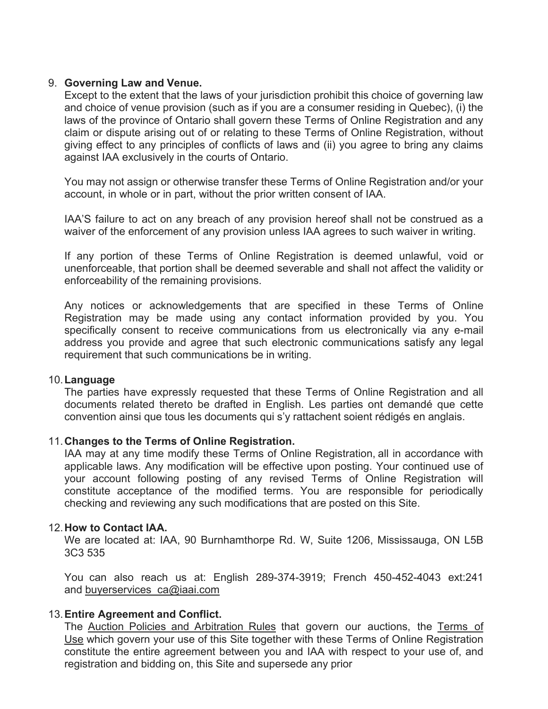## 9. **Governing Law and Venue.**

Except to the extent that the laws of your jurisdiction prohibit this choice of governing law and choice of venue provision (such as if you are a consumer residing in Quebec), (i) the laws of the province of Ontario shall govern these Terms of Online Registration and any claim or dispute arising out of or relating to these Terms of Online Registration, without giving effect to any principles of conflicts of laws and (ii) you agree to bring any claims against IAA exclusively in the courts of Ontario.

You may not assign or otherwise transfer these Terms of Online Registration and/or your account, in whole or in part, without the prior written consent of IAA.

IAA'S failure to act on any breach of any provision hereof shall not be construed as a waiver of the enforcement of any provision unless IAA agrees to such waiver in writing.

If any portion of these Terms of Online Registration is deemed unlawful, void or unenforceable, that portion shall be deemed severable and shall not affect the validity or enforceability of the remaining provisions.

Any notices or acknowledgements that are specified in these Terms of Online Registration may be made using any contact information provided by you. You specifically consent to receive communications from us electronically via any e-mail address you provide and agree that such electronic communications satisfy any legal requirement that such communications be in writing.

## 10.**Language**

The parties have expressly requested that these Terms of Online Registration and all documents related thereto be drafted in English. Les parties ont demandé que cette convention ainsi que tous les documents qui s'y rattachent soient rédigés en anglais.

## 11.**Changes to the Terms of Online Registration.**

IAA may at any time modify these Terms of Online Registration, all in accordance with applicable laws. Any modification will be effective upon posting. Your continued use of your account following posting of any revised Terms of Online Registration will constitute acceptance of the modified terms. You are responsible for periodically checking and reviewing any such modifications that are posted on this Site.

#### 12.**How to Contact IAA.**

We are located at: IAA, 90 Burnhamthorpe Rd. W, Suite 1206, Mississauga, ON L5B 3C3 535

You can also reach us at: English 289-374-3919; French 450-452-4043 ext:241 and buyerservices ca@iaai.com

## 13.**Entire Agreement and Conflict.**

The Auction Policies and Arbitration Rules that govern our auctions, the Terms of Use which govern your use of this Site together with these Terms of Online Registration constitute the entire agreement between you and IAA with respect to your use of, and registration and bidding on, this Site and supersede any prior